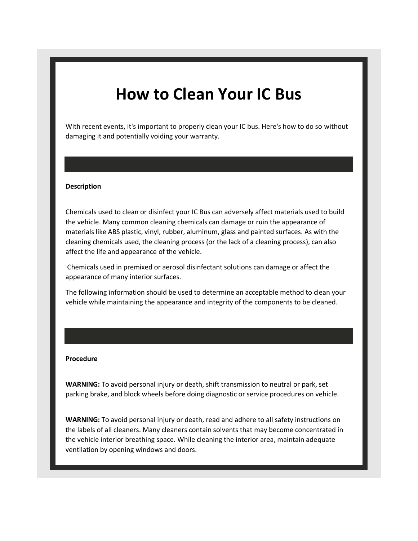# **How to Clean Your IC Bus**

 With recent events, it's important to properly clean your IC bus. Here's how to do so without damaging it and potentially voiding your warranty.

#### **Description**

 Chemicals used to clean or disinfect your IC Bus can adversely affect materials used to build the vehicle. Many common cleaning chemicals can damage or ruin the appearance of materials like ABS plastic, vinyl, rubber, aluminum, glass and painted surfaces. As with the cleaning chemicals used, the cleaning process (or the lack of a cleaning process), can also affect the life and appearance of the vehicle.

 Chemicals used in premixed or aerosol disinfectant solutions can damage or affect the appearance of many interior surfaces.

 The following information should be used to determine an acceptable method to clean your vehicle while maintaining the appearance and integrity of the components to be cleaned.

#### **Procedure**

 **WARNING:** To avoid personal injury or death, shift transmission to neutral or park, set parking brake, and block wheels before doing diagnostic or service procedures on vehicle.

 **WARNING:** To avoid personal injury or death, read and adhere to all safety instructions on the labels of all cleaners. Many cleaners contain solvents that may become concentrated in the vehicle interior breathing space. While cleaning the interior area, maintain adequate ventilation by opening windows and doors.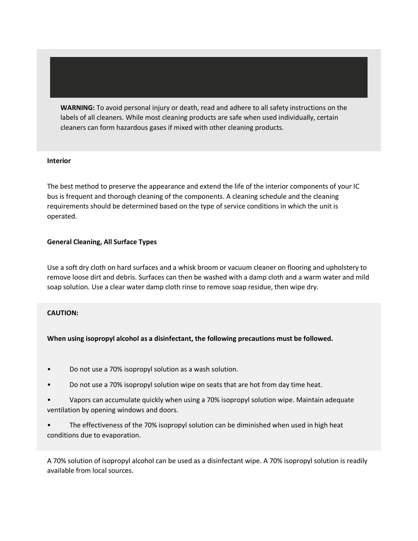**WARNING:** To avoid personal injury or death, read and adhere to all safety instructions on the labels of all cleaners. While most cleaning products are safe when used individually, certain cleaners can form hazardous gases if mixed with other cleaning products.

## **Interior**

 The best method to preserve the appearance and extend the life of the interior components of your IC bus is frequent and thorough cleaning of the components. A cleaning schedule and the cleaning requirements should be determined based on the type of service conditions in which the unit is operated.

#### **General Cleaning, All Surface Types**

 Use a soft dry cloth on hard surfaces and a whisk broom or vacuum cleaner on flooring and upholstery to remove loose dirt and debris. Surfaces can then be washed with a damp cloth and a warm water and mild soap solution. Use a clear water damp cloth rinse to remove soap residue, then wipe dry.

# **CAUTION:**

# **When using isopropyl alcohol as a disinfectant, the following precautions must be followed.**

- Do not use a 70% isopropyl solution as a wash solution.
- Do not use a 70% isopropyl solution wipe on seats that are hot from day time heat.
- ventilation by opening windows and doors. • Vapors can accumulate quickly when using a 70% isopropyl solution wipe. Maintain adequate
- The effectiveness of the 70% isopropyl solution can be diminished when used in high heat conditions due to evaporation.

 A 70% solution of isopropyl alcohol can be used as a disinfectant wipe. A 70% isopropyl solution is readily available from local sources.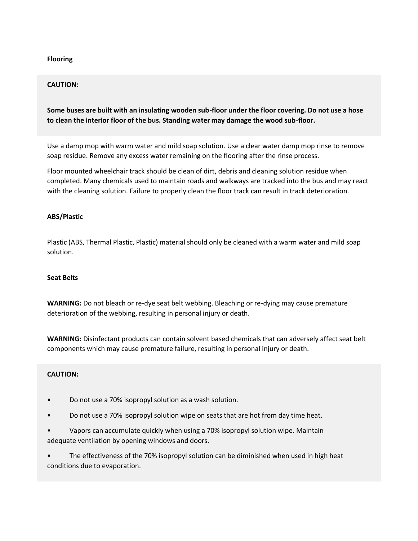# **Flooring**

# **CAUTION:**

# **Some buses are built with an insulating wooden sub-floor under the floor covering. Do not use a hose to clean the interior floor of the bus. Standing water may damage the wood sub-floor.**

 Use a damp mop with warm water and mild soap solution. Use a clear water damp mop rinse to remove soap residue. Remove any excess water remaining on the flooring after the rinse process.

 Floor mounted wheelchair track should be clean of dirt, debris and cleaning solution residue when completed. Many chemicals used to maintain roads and walkways are tracked into the bus and may react with the cleaning solution. Failure to properly clean the floor track can result in track deterioration.

# **ABS/Plastic**

 Plastic (ABS, Thermal Plastic, Plastic) material should only be cleaned with a warm water and mild soap solution.

## **Seat Belts**

 **WARNING:** Do not bleach or re-dye seat belt webbing. Bleaching or re-dying may cause premature deterioration of the webbing, resulting in personal injury or death.

 **WARNING:** Disinfectant products can contain solvent based chemicals that can adversely affect seat belt components which may cause premature failure, resulting in personal injury or death.

# **CAUTION:**

- Do not use a 70% isopropyl solution as a wash solution.
- Do not use a 70% isopropyl solution wipe on seats that are hot from day time heat.
- adequate ventilation by opening windows and doors. • Vapors can accumulate quickly when using a 70% isopropyl solution wipe. Maintain

• The effectiveness of the 70% isopropyl solution can be diminished when used in high heat conditions due to evaporation.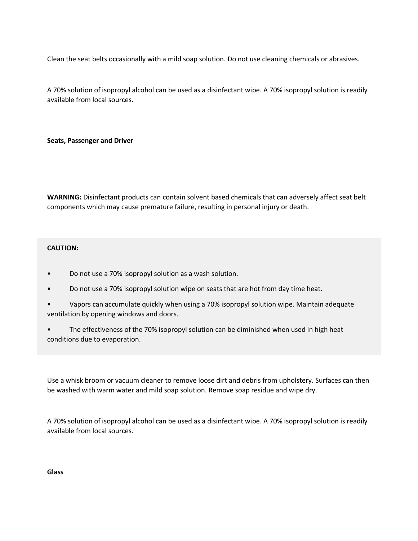Clean the seat belts occasionally with a mild soap solution. Do not use cleaning chemicals or abrasives.

 A 70% solution of isopropyl alcohol can be used as a disinfectant wipe. A 70% isopropyl solution is readily available from local sources.

 **Seats, Passenger and Driver** 

 **WARNING:** Disinfectant products can contain solvent based chemicals that can adversely affect seat belt components which may cause premature failure, resulting in personal injury or death.

# **CAUTION:**

- Do not use a 70% isopropyl solution as a wash solution.
- Do not use a 70% isopropyl solution wipe on seats that are hot from day time heat.
- ventilation by opening windows and doors. • Vapors can accumulate quickly when using a 70% isopropyl solution wipe. Maintain adequate
- The effectiveness of the 70% isopropyl solution can be diminished when used in high heat conditions due to evaporation.

 Use a whisk broom or vacuum cleaner to remove loose dirt and debris from upholstery. Surfaces can then be washed with warm water and mild soap solution. Remove soap residue and wipe dry.

 A 70% solution of isopropyl alcohol can be used as a disinfectant wipe. A 70% isopropyl solution is readily available from local sources.

**Glass**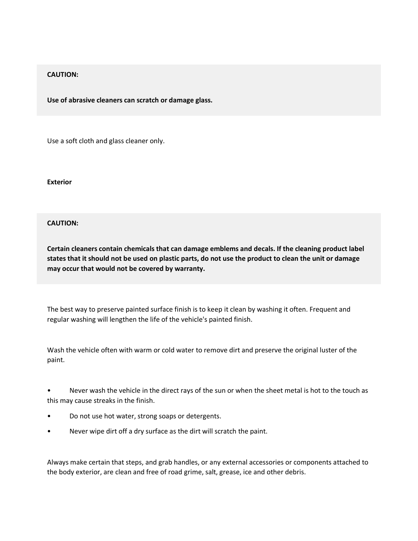# **CAUTION:**

 **Use of abrasive cleaners can scratch or damage glass.** 

Use a soft cloth and glass cleaner only.

**Exterior** 

# **CAUTION:**

 **Certain cleaners contain chemicals that can damage emblems and decals. If the cleaning product label states that it should not be used on plastic parts, do not use the product to clean the unit or damage may occur that would not be covered by warranty.** 

 The best way to preserve painted surface finish is to keep it clean by washing it often. Frequent and regular washing will lengthen the life of the vehicle's painted finish.

 Wash the vehicle often with warm or cold water to remove dirt and preserve the original luster of the paint.

• Never wash the vehicle in the direct rays of the sun or when the sheet metal is hot to the touch as this may cause streaks in the finish.

- Do not use hot water, strong soaps or detergents.
- Never wipe dirt off a dry surface as the dirt will scratch the paint.

 Always make certain that steps, and grab handles, or any external accessories or components attached to the body exterior, are clean and free of road grime, salt, grease, ice and other debris.